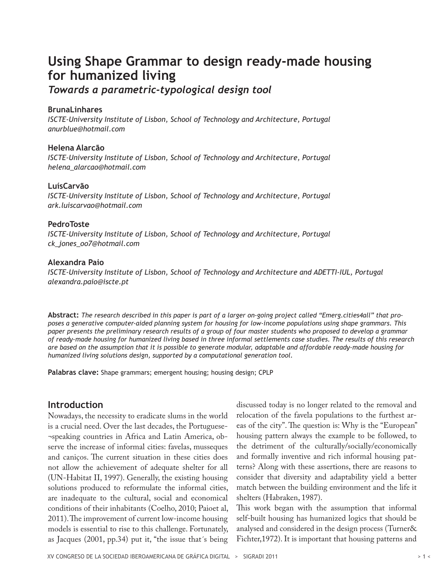# **Using Shape Grammar to design ready-made housing for humanized living**

*Towards a parametric-typological design tool*

#### **BrunaLinhares**

*ISCTE-University Institute of Lisbon, School of Technology and Architecture, Portugal anurblue@hotmail.com*

#### **Helena Alarcão**

*ISCTE-University Institute of Lisbon, School of Technology and Architecture, Portugal helena\_alarcao@hotmail.com*

### **LuísCarvão**

*ISCTE-University Institute of Lisbon, School of Technology and Architecture, Portugal ark.luiscarvao@hotmail.com*

#### **PedroToste**

*ISCTE-University Institute of Lisbon, School of Technology and Architecture, Portugal ck\_jones\_oo7@hotmail.com* 

#### **Alexandra Paio**

*ISCTE-University Institute of Lisbon, School of Technology and Architecture and ADETTI-IUL, Portugal alexandra.paio@iscte.pt*

**Abstract:** *The research described in this paper is part of a larger on-going project called "Emerg.cities4all" that proposes a generative computer-aided planning system for housing for low-income populations using shape grammars. This paper presents the preliminary research results of a group of four master students who proposed to develop a grammar of ready-made housing for humanized living based in three informal settlements case studies. The results of this research are based on the assumption that it is possible to generate modular, adaptable and affordable ready-made housing for humanized living solutions design, supported by a computational generation tool.*

**Palabras clave:** Shape grammars; emergent housing; housing design; CPLP

## **Introduction**

Nowadays, the necessity to eradicate slums in the world is a crucial need. Over the last decades, the Portuguese- ¬speaking countries in Africa and Latin America, observe the increase of informal cities: favelas, musseques and caniços. The current situation in these cities does not allow the achievement of adequate shelter for all (UN-Habitat II, 1997). Generally, the existing housing solutions produced to reformulate the informal cities, are inadequate to the cultural, social and economical conditions of their inhabitants (Coelho, 2010; Paioet al, 2011). The improvement of current low-income housing models is essential to rise to this challenge. Fortunately, as Jacques (2001, pp.34) put it, "the issue that´s being

discussed today is no longer related to the removal and relocation of the favela populations to the furthest areas of the city". The question is: Why is the "European" housing pattern always the example to be followed, to the detriment of the culturally/socially/economically and formally inventive and rich informal housing patterns? Along with these assertions, there are reasons to consider that diversity and adaptability yield a better match between the building environment and the life it shelters (Habraken, 1987).

This work began with the assumption that informal self-built housing has humanized logics that should be analysed and considered in the design process (Turner& Fichter,1972). It is important that housing patterns and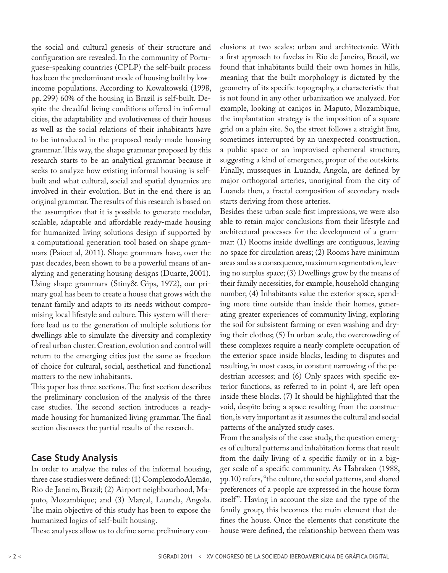the social and cultural genesis of their structure and configuration are revealed. In the community of Portuguese-speaking countries (CPLP) the self-built process has been the predominant mode of housing built by lowincome populations. According to Kowaltowski (1998, pp. 299) 60% of the housing in Brazil is self-built. Despite the dreadful living conditions offered in informal cities, the adaptability and evolutiveness of their houses as well as the social relations of their inhabitants have to be introduced in the proposed ready-made housing grammar. This way, the shape grammar proposed by this research starts to be an analytical grammar because it seeks to analyze how existing informal housing is selfbuilt and what cultural, social and spatial dynamics are involved in their evolution. But in the end there is an original grammar. The results of this research is based on the assumption that it is possible to generate modular, scalable, adaptable and affordable ready-made housing for humanized living solutions design if supported by a computational generation tool based on shape grammars (Paioet al, 2011). Shape grammars have, over the past decades, been shown to be a powerful means of analyzing and generating housing designs (Duarte, 2001). Using shape grammars (Stiny& Gips, 1972), our primary goal has been to create a house that grows with the tenant family and adapts to its needs without compromising local lifestyle and culture. This system will therefore lead us to the generation of multiple solutions for dwellings able to simulate the diversity and complexity of real urban cluster. Creation, evolution and control will return to the emerging cities just the same as freedom of choice for cultural, social, aesthetical and functional matters to the new inhabitants.

This paper has three sections. The first section describes the preliminary conclusion of the analysis of the three case studies. The second section introduces a readymade housing for humanized living grammar. The final section discusses the partial results of the research.

## **Case Study Analysis**

In order to analyze the rules of the informal housing, three case studies were defined: (1) ComplexodoAlemão, Rio de Janeiro, Brazil; (2) Airport neighbourhood, Maputo, Mozambique; and (3) Marçal, Luanda, Angola. The main objective of this study has been to expose the humanized logics of self-built housing.

These analyses allow us to define some preliminary con-

clusions at two scales: urban and architectonic. With a first approach to favelas in Rio de Janeiro, Brazil, we found that inhabitants build their own homes in hills, meaning that the built morphology is dictated by the geometry of its specific topography, a characteristic that is not found in any other urbanization we analyzed. For example, looking at caniços in Maputo, Mozambique, the implantation strategy is the imposition of a square grid on a plain site. So, the street follows a straight line, sometimes interrupted by an unexpected construction, a public space or an improvised ephemeral structure, suggesting a kind of emergence, proper of the outskirts. Finally, musseques in Luanda, Angola, are defined by major orthogonal arteries, unoriginal from the city of Luanda then, a fractal composition of secondary roads starts deriving from those arteries.

Besides these urban scale first impressions, we were also able to retain major conclusions from their lifestyle and architectural processes for the development of a grammar: (1) Rooms inside dwellings are contiguous, leaving no space for circulation areas; (2) Rooms have minimum areas and as a consequence, maximum segmentation, leaving no surplus space; (3) Dwellings grow by the means of their family necessities, for example, household changing number; (4) Inhabitants value the exterior space, spending more time outside than inside their homes, generating greater experiences of community living, exploring the soil for subsistent farming or even washing and drying their clothes; (5) In urban scale, the overcrowding of these complexes require a nearly complete occupation of the exterior space inside blocks, leading to disputes and resulting, in most cases, in constant narrowing of the pedestrian accesses; and (6) Only spaces with specific exterior functions, as referred to in point 4, are left open inside these blocks. (7) It should be highlighted that the void, despite being a space resulting from the construction, is very important as it assumes the cultural and social patterns of the analyzed study cases.

From the analysis of the case study, the question emerges of cultural patterns and inhabitation forms that result from the daily living of a specific family or in a bigger scale of a specific community. As Habraken (1988, pp.10) refers, "the culture, the social patterns, and shared preferences of a people are expressed in the house form itself". Having in account the size and the type of the family group, this becomes the main element that defines the house. Once the elements that constitute the house were defined, the relationship between them was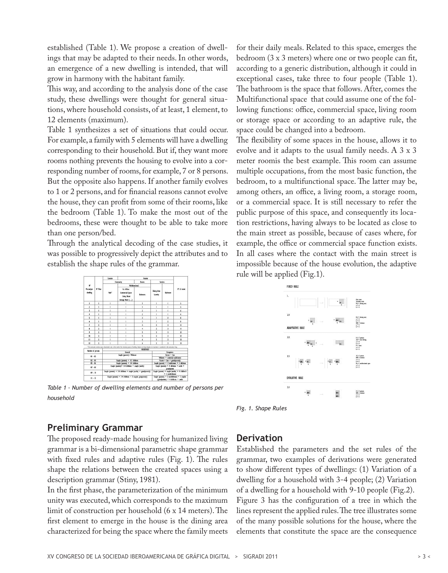established (Table 1). We propose a creation of dwellings that may be adapted to their needs. In other words, an emergence of a new dwelling is intended, that will grow in harmony with the habitant family.

This way, and according to the analysis done of the case study, these dwellings were thought for general situations, where household consists, of at least, 1 element, to 12 elements (maximum).

Table 1 synthesizes a set of situations that could occur. For example, a family with 5 elements will have a dwelling corresponding to their household. But if, they want more rooms nothing prevents the housing to evolve into a corresponding number of rooms, for example, 7 or 8 persons. But the opposite also happens. If another family evolves to 1 or 2 persons, and for financial reasons cannot evolve the house, they can profit from some of their rooms, like the bedroom (Table 1). To make the most out of the bedrooms, these were thought to be able to take more than one person/bed.

Through the analytical decoding of the case studies, it was possible to progressively depict the attributes and to establish the shape rules of the grammar.

| K.<br>Person/per<br>decline |                 | Exterior<br>Interior                                               |                                                                                                                                                                                        |                                                                                       |                               |                |                                   |  |  |
|-----------------------------|-----------------|--------------------------------------------------------------------|----------------------------------------------------------------------------------------------------------------------------------------------------------------------------------------|---------------------------------------------------------------------------------------|-------------------------------|----------------|-----------------------------------|--|--|
|                             |                 |                                                                    | <b>Community</b>                                                                                                                                                                       | Room.                                                                                 | <b>Services</b>               |                |                                   |  |  |
|                             | <b>Nº Floor</b> |                                                                    | Nublimorinant:                                                                                                                                                                         |                                                                                       |                               |                | S' of reams                       |  |  |
|                             |                 | tair*                                                              | Fr: Offers<br>Commercial Space<br>Lining Room<br>Storage Boom ()                                                                                                                       | <b>Refronts</b>                                                                       | <b>Dining Area</b><br>Laundry | Rachmann       |                                   |  |  |
| ï                           | ï               | ï                                                                  |                                                                                                                                                                                        | ī                                                                                     | Ĭ.                            | f.             | ¢.                                |  |  |
| $\overline{2}$              | ï               | Ï                                                                  | ï                                                                                                                                                                                      | ı                                                                                     | ī                             | ĭ              | š                                 |  |  |
| 3                           | ï               | ï                                                                  | ï                                                                                                                                                                                      | ï                                                                                     | ī                             | ï              | ś                                 |  |  |
| $\ddot{\phantom{1}}$        | Ï               | ï                                                                  | ï                                                                                                                                                                                      | $\mathbf{r}$                                                                          | ï                             | ī              | s.                                |  |  |
| 5                           | ï               | ï                                                                  | ï                                                                                                                                                                                      | ł                                                                                     | ī                             | $\overline{ }$ | ŧ                                 |  |  |
| f.                          | I               | Ï                                                                  | ī                                                                                                                                                                                      | ţ                                                                                     | ī                             | <sup>2</sup>   | $\mathbf{r}$                      |  |  |
| T                           | $\lambda$       | ï                                                                  | ï                                                                                                                                                                                      | ł.                                                                                    | $\mathbf{r}$                  | ı              | $\mathbf{H}$                      |  |  |
| ı                           | $\mathbf{z}$    | ĭ                                                                  | ï                                                                                                                                                                                      | ł.                                                                                    | <sup>1</sup>                  | ı              | $\mathbf{H}$                      |  |  |
| ٠                           | $\mathbf{z}$    |                                                                    | ı                                                                                                                                                                                      | 5                                                                                     | ,                             | ł.<br>ı<br>ı.  | $\mathbf{D}$<br>Đ<br>$\mathbf{n}$ |  |  |
| m                           | ï               | ï                                                                  | ï                                                                                                                                                                                      | ¢                                                                                     | ż                             |                |                                   |  |  |
| п                           | <sup>2</sup>    | ï                                                                  | ï                                                                                                                                                                                      | k.                                                                                    | <sup>1</sup>                  |                |                                   |  |  |
| $\mathbf{n}$                | ï               |                                                                    | ï                                                                                                                                                                                      | k.                                                                                    | $\mathbf{r}$                  | ï              | $\mathbf{B}$                      |  |  |
|                             |                 |                                                                    | * This community extention space, denominated void, is the result of the remaining spaces of deeding. Besphe not being designed, its importance is considered in the community living. |                                                                                       |                               |                |                                   |  |  |
| <b>Number of persons</b>    |                 |                                                                    | Grenal                                                                                                                                                                                 | <b>HOINFIER</b>                                                                       |                               |                |                                   |  |  |
|                             |                 |                                                                    | Eucoppions<br>Parent + Sea                                                                                                                                                             |                                                                                       |                               |                |                                   |  |  |
| $41 - 42$                   |                 |                                                                    | Widney + canvered stablement                                                                                                                                                           |                                                                                       |                               |                |                                   |  |  |
| $03 - 04$                   |                 |                                                                    | Parent + Sen + grandparentls)                                                                                                                                                          |                                                                                       |                               |                |                                   |  |  |
| $46 - 66$                   |                 |                                                                    | Couple (parent) + 2 stablisment + 2 childrens                                                                                                                                          |                                                                                       |                               |                |                                   |  |  |
| $47 - 08$                   |                 | Couple (parents) + 3-4 childrens + couple (uncles)                 | Couole (garents) + 4 childrens + unde +<br>rrandoaren:                                                                                                                                 |                                                                                       |                               |                |                                   |  |  |
| $49 - 10$                   |                 | Couple (parents) + 3-4 childrens + couple (ancles) + grandparents) | Couple (parents) + couple (uncles) + 4 children's<br>+ 2 erablishment                                                                                                                  |                                                                                       |                               |                |                                   |  |  |
| $II - II$                   |                 |                                                                    | Couple (parents) + 3-4 childrens + 2 couples grangaments)                                                                                                                              | Couple (parents) + 2 establishment + 2 couples<br>(grandparent) + 4 childrens + uncle |                               |                |                                   |  |  |

*Table 1 – Number of dwelling elements and number of persons per household*

for their daily meals. Related to this space, emerges the bedroom (3 x 3 meters) where one or two people can fit, according to a generic distribution, although it could in exceptional cases, take three to four people (Table 1). The bathroom is the space that follows. After, comes the Multifunctional space that could assume one of the following functions: office, commercial space, living room or storage space or according to an adaptive rule, the space could be changed into a bedroom.

The flexibility of some spaces in the house, allows it to evolve and it adapts to the usual family needs. A 3 x 3 meter roomis the best example. This room can assume multiple occupations, from the most basic function, the bedroom, to a multifunctional space. The latter may be, among others, an office, a living room, a storage room, or a commercial space. It is still necessary to refer the public purpose of this space, and consequently its location restrictions, having always to be located as close to the main street as possible, because of cases where, for example, the office or commercial space function exists. In all cases where the contact with the main street is impossible because of the house evolution, the adaptive rule will be applied (Fig.1).

| $\mathbf{L}$                  |                               |               | ٠<br><b>RD</b><br>b | Fair raws<br>Seautory spec<br><b>EA - daing are</b><br>$\frac{1}{2}$ = 4<br>$b = 4$                    |
|-------------------------------|-------------------------------|---------------|---------------------|--------------------------------------------------------------------------------------------------------|
| 2.1<br><b>ADAPTATIVE RULE</b> | ï<br><b>DE</b>                | $\rightarrow$ | m<br>u<br>k         | <b>DA = doing ans</b><br>$\frac{1}{2}$<br>$k = 4$<br><b>SER = before</b><br>$1 - 1$<br>$b = 1$         |
| 2.2                           | $^{\circ}$ 808 $_{\circ}$     | $\bullet$     | a.                  | $1 \geq 7$ pressu<br>$10 = \text{avg of ring}$<br>$1 - 4$<br>$1 - 4$<br>$k = nm$<br>$n = 1$<br>$k = 1$ |
| 7.1                           | 185<br>$^{\circ}$ m<br>ī<br>ä | $^2$ KS       | $4$ and<br>ī.<br>ī  | If 2 5 percent<br>IGE - beforen<br>$-1$<br>$+ - 1$<br>RS = michroloral space<br>$i = 1$<br>i-i         |
| EVOLUTIVE RULE                |                               |               |                     |                                                                                                        |
| 3.1                           |                               |               | 808<br>œ            | anang (SI)<br>$108 = 100$<br>$2 = 1$<br>i = i                                                          |

*Fig. 1. Shape Rules* 

## **Preliminary Grammar**

The proposed ready-made housing for humanized living grammar is a bi-dimensional parametric shape grammar with fixed rules and adaptive rules (Fig. 1). The rules shape the relations between the created spaces using a description grammar (Stiny, 1981).

In the first phase, the parameterization of the minimum unity was executed, which corresponds to the maximum limit of construction per household (6 x 14 meters). The first element to emerge in the house is the dining area characterized for being the space where the family meets

## **Derivation**

Established the parameters and the set rules of the grammar, two examples of derivations were generated to show different types of dwellings: (1) Variation of a dwelling for a household with 3-4 people; (2) Variation of a dwelling for a household with 9-10 people (Fig.2). Figure 3 has the configuration of a tree in which the lines represent the applied rules. The tree illustrates some of the many possible solutions for the house, where the elements that constitute the space are the consequence